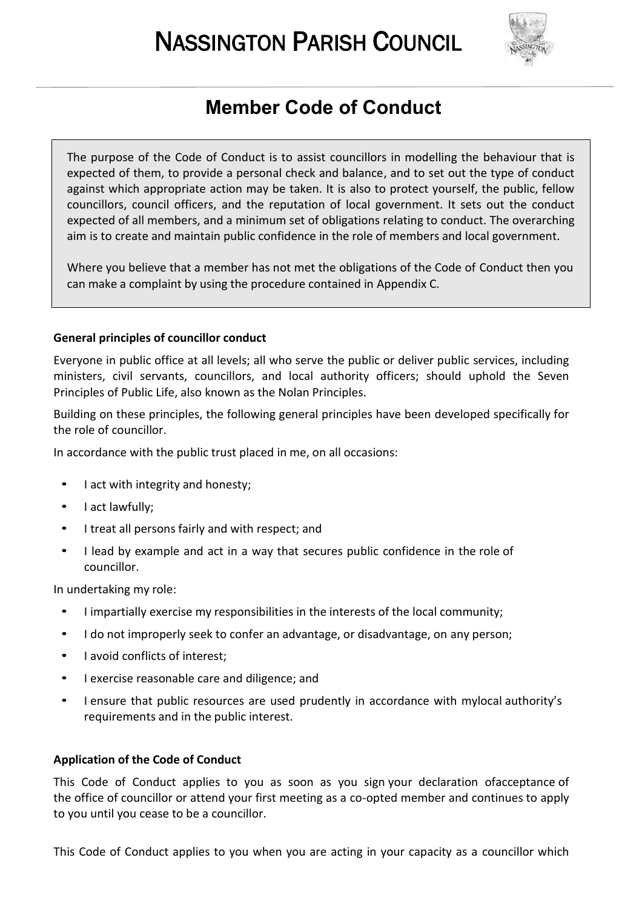# NASSINGTON PARISH COUNCIL



# **Member Code of Conduct**

The purpose of the Code of Conduct is to assist councillors in modelling the behaviour that is expected of them, to provide a personal check and balance, and to set out the type of conduct against which appropriate action may be taken. It is also to protect yourself, the public, fellow councillors, council officers, and the reputation of local government. It sets out the conduct expected of all members, and a minimum set of obligations relating to conduct. The overarching aim is to create and maintain public confidence in the role of members and local government.

Where you believe that a member has not met the obligations of the Code of Conduct then you can make a complaint by using the procedure contained in Appendix C.

# **General principles of councillor conduct**

Everyone in public office at all levels; all who serve the public or deliver public services, including ministers, civil servants, councillors, and local authority officers; should uphold the Seven Principles of Public Life, also known as the Nolan Principles.

Building on these principles, the following general principles have been developed specifically for the role of councillor.

In accordance with the public trust placed in me, on all occasions:

- I act with integrity and honesty;
- I act lawfully;

L

- I treat all persons fairly and with respect; and
- I lead by example and act in a way that secures public confidence in the role of councillor.

In undertaking my role:

- I impartially exercise my responsibilities in the interests of the local community;
- I do not improperly seek to confer an advantage, or disadvantage, on any person;
- I avoid conflicts of interest:
- I exercise reasonable care and diligence; and
- I ensure that public resources are used prudently in accordance with mylocal authority's requirements and in the public interest.

# **Application of the Code of Conduct**

This Code of Conduct applies to you as soon as you sign your declaration ofacceptance of the office of councillor or attend your first meeting as a co-opted member and continues to apply to you until you cease to be a councillor.

This Code of Conduct applies to you when you are acting in your capacity as a councillor which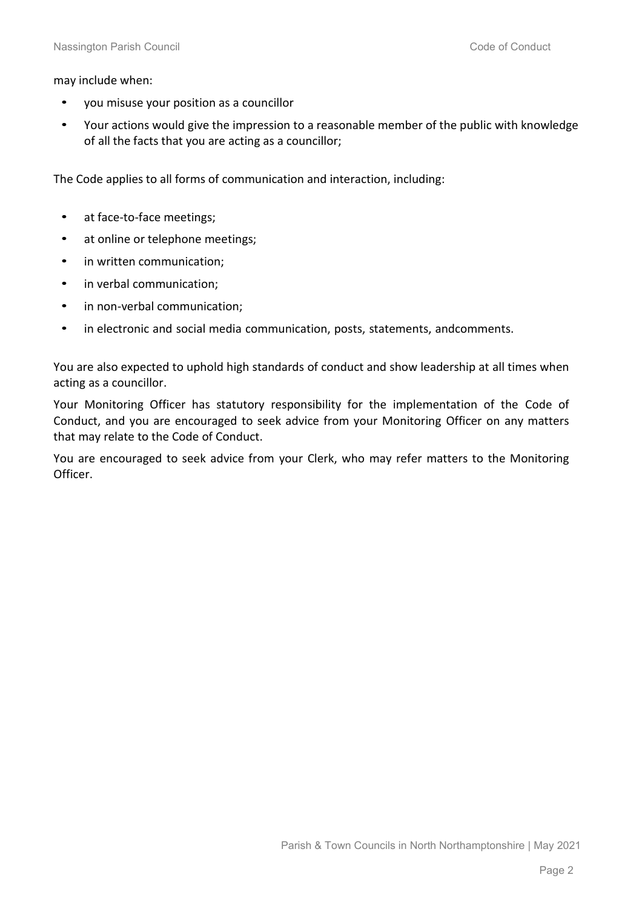may include when:

- you misuse your position as a councillor
- Your actions would give the impression to a reasonable member of the public with knowledge of all the facts that you are acting as a councillor;

The Code applies to all forms of communication and interaction, including:

- at face-to-face meetings;
- at online or telephone meetings;
- in written communication;
- in verbal communication;
- in non-verbal communication;
- in electronic and social media communication, posts, statements, andcomments.

You are also expected to uphold high standards of conduct and show leadership at all times when acting as a councillor.

Your Monitoring Officer has statutory responsibility for the implementation of the Code of Conduct, and you are encouraged to seek advice from your Monitoring Officer on any matters that may relate to the Code of Conduct.

You are encouraged to seek advice from your Clerk, who may refer matters to the Monitoring Officer.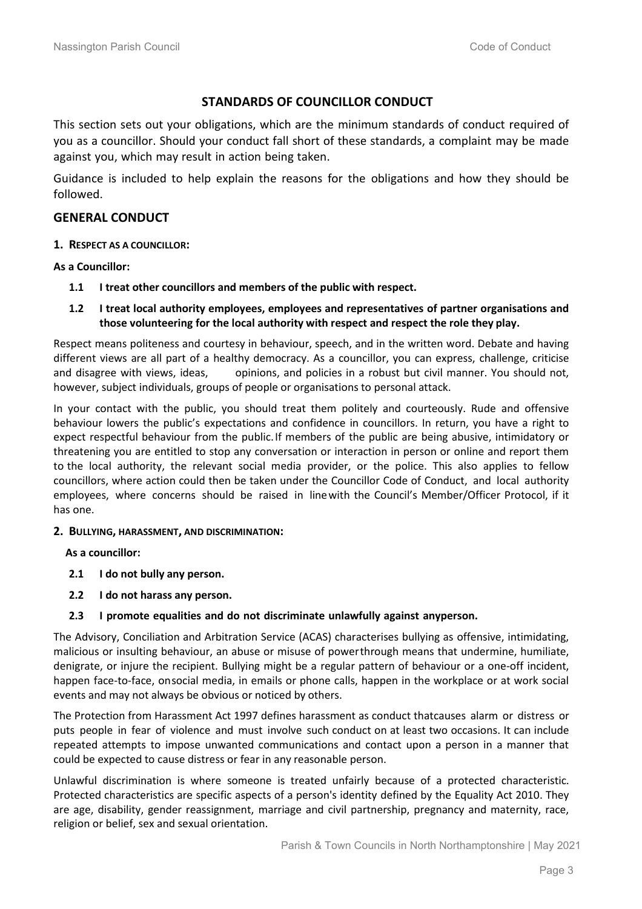# **STANDARDS OF COUNCILLOR CONDUCT**

This section sets out your obligations, which are the minimum standards of conduct required of you as a councillor. Should your conduct fall short of these standards, a complaint may be made against you, which may result in action being taken.

Guidance is included to help explain the reasons for the obligations and how they should be followed.

# **GENERAL CONDUCT**

**1. RESPECT AS A COUNCILLOR:**

**As a Councillor:**

- **1.1 I treat other councillors and members of the public with respect.**
- **1.2 I treat local authority employees, employees and representatives of partner organisations and those volunteering for the local authority with respect and respect the role they play.**

Respect means politeness and courtesy in behaviour, speech, and in the written word. Debate and having different views are all part of a healthy democracy. As a councillor, you can express, challenge, criticise and disagree with views, ideas, opinions, and policies in a robust but civil manner. You should not, however, subject individuals, groups of people or organisations to personal attack.

In your contact with the public, you should treat them politely and courteously. Rude and offensive behaviour lowers the public's expectations and confidence in councillors. In return, you have a right to expect respectful behaviour from the public.If members of the public are being abusive, intimidatory or threatening you are entitled to stop any conversation or interaction in person or online and report them to the local authority, the relevant social media provider, or the police. This also applies to fellow councillors, where action could then be taken under the Councillor Code of Conduct, and local authority employees, where concerns should be raised in linewith the Council's Member/Officer Protocol, if it has one.

#### **2. BULLYING, HARASSMENT, AND DISCRIMINATION:**

**As a councillor:**

- **2.1 I do not bully any person.**
- **2.2 I do not harass any person.**
- **2.3 I promote equalities and do not discriminate unlawfully against anyperson.**

The Advisory, Conciliation and Arbitration Service (ACAS) characterises bullying as offensive, intimidating, malicious or insulting behaviour, an abuse or misuse of powerthrough means that undermine, humiliate, denigrate, or injure the recipient. Bullying might be a regular pattern of behaviour or a one-off incident, happen face-to-face, onsocial media, in emails or phone calls, happen in the workplace or at work social events and may not always be obvious or noticed by others.

The Protection from Harassment Act 1997 defines harassment as conduct thatcauses alarm or distress or puts people in fear of violence and must involve such conduct on at least two occasions. It can include repeated attempts to impose unwanted communications and contact upon a person in a manner that could be expected to cause distress or fear in any reasonable person.

Unlawful discrimination is where someone is treated unfairly because of a protected characteristic. Protected characteristics are specific aspects of a person's identity defined by the Equality Act 2010. They are age, disability, gender reassignment, marriage and civil partnership, pregnancy and maternity, race, religion or belief, sex and sexual orientation.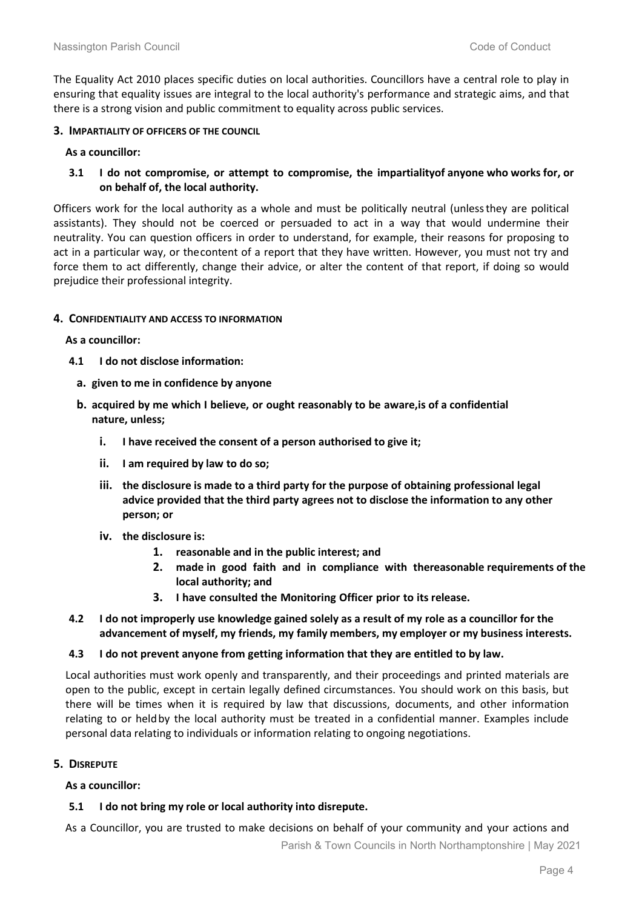The Equality Act 2010 places specific duties on local authorities. Councillors have a central role to play in ensuring that equality issues are integral to the local authority's performance and strategic aims, and that there is a strong vision and public commitment to equality across public services.

#### **3. IMPARTIALITY OF OFFICERS OF THE COUNCIL**

#### **As a councillor:**

#### **3.1 I do not compromise, or attempt to compromise, the impartialityof anyone who works for, or on behalf of, the local authority.**

Officers work for the local authority as a whole and must be politically neutral (unlessthey are political assistants). They should not be coerced or persuaded to act in a way that would undermine their neutrality. You can question officers in order to understand, for example, their reasons for proposing to act in a particular way, or thecontent of a report that they have written. However, you must not try and force them to act differently, change their advice, or alter the content of that report, if doing so would prejudice their professional integrity.

#### **4. CONFIDENTIALITY AND ACCESS TO INFORMATION**

**As a councillor:**

- **4.1 I do not disclose information:**
	- **a. given to me in confidence by anyone**
	- **b. acquired by me which I believe, or ought reasonably to be aware,is of a confidential nature, unless;**
		- **i. I have received the consent of a person authorised to give it;**
		- **ii. I am required by law to do so;**
		- **iii. the disclosure is made to a third party for the purpose of obtaining professional legal advice provided that the third party agrees not to disclose the information to any other person; or**
		- **iv. the disclosure is:**
			- **1. reasonable and in the public interest; and**
			- **2. made in good faith and in compliance with thereasonable requirements of the local authority; and**
			- **3. I have consulted the Monitoring Officer prior to its release.**
- **4.2 I do not improperly use knowledge gained solely as a result of my role as a councillor for the advancement of myself, my friends, my family members, my employer or my business interests.**

#### **4.3 I do not prevent anyone from getting information that they are entitled to by law.**

Local authorities must work openly and transparently, and their proceedings and printed materials are open to the public, except in certain legally defined circumstances. You should work on this basis, but there will be times when it is required by law that discussions, documents, and other information relating to or heldby the local authority must be treated in a confidential manner. Examples include personal data relating to individuals or information relating to ongoing negotiations.

# **5. DISREPUTE**

#### **As a councillor:**

# **5.1 I do not bring my role or local authority into disrepute.**

As a Councillor, you are trusted to make decisions on behalf of your community and your actions and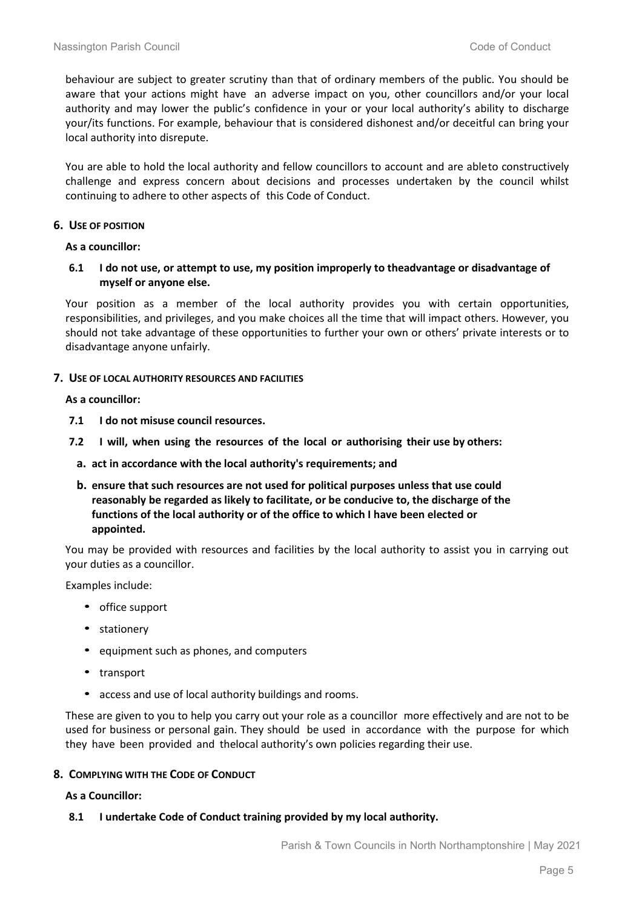behaviour are subject to greater scrutiny than that of ordinary members of the public. You should be aware that your actions might have an adverse impact on you, other councillors and/or your local authority and may lower the public's confidence in your or your local authority's ability to discharge your/its functions. For example, behaviour that is considered dishonest and/or deceitful can bring your local authority into disrepute.

You are able to hold the local authority and fellow councillors to account and are ableto constructively challenge and express concern about decisions and processes undertaken by the council whilst continuing to adhere to other aspects of this Code of Conduct.

#### **6. USE OF POSITION**

**As a councillor:**

**6.1 I do not use, or attempt to use, my position improperly to theadvantage or disadvantage of myself or anyone else.**

Your position as a member of the local authority provides you with certain opportunities, responsibilities, and privileges, and you make choices all the time that will impact others. However, you should not take advantage of these opportunities to further your own or others' private interests or to disadvantage anyone unfairly.

#### **7. USE OF LOCAL AUTHORITY RESOURCES AND FACILITIES**

**As a councillor:**

- **7.1 I do not misuse council resources.**
- **7.2 I will, when using the resources of the local or authorising their use by others:**
	- **a. act in accordance with the local authority's requirements; and**
	- **b. ensure that such resources are not used for political purposes unless that use could reasonably be regarded as likely to facilitate, or be conducive to, the discharge of the functions of the local authority or of the office to which I have been elected or appointed.**

You may be provided with resources and facilities by the local authority to assist you in carrying out your duties as a councillor.

Examples include:

- office support
- stationery
- equipment such as phones, and computers
- transport
- access and use of local authority buildings and rooms.

These are given to you to help you carry out your role as a councillor more effectively and are not to be used for business or personal gain. They should be used in accordance with the purpose for which they have been provided and thelocal authority's own policies regarding their use.

#### **8. COMPLYING WITH THE CODE OF CONDUCT**

**As a Councillor:**

#### **8.1 I undertake Code of Conduct training provided by my local authority.**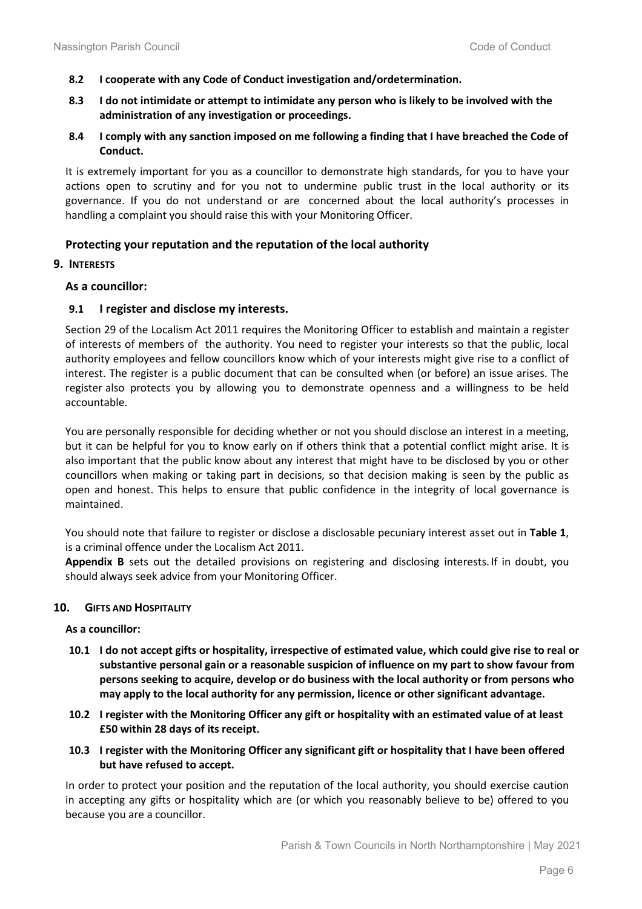- **8.2 I cooperate with any Code of Conduct investigation and/ordetermination.**
- **8.3 I do not intimidate or attempt to intimidate any person who is likely to be involved with the administration of any investigation or proceedings.**
- **8.4 I comply with any sanction imposed on me following a finding that I have breached the Code of Conduct.**

It is extremely important for you as a councillor to demonstrate high standards, for you to have your actions open to scrutiny and for you not to undermine public trust in the local authority or its governance. If you do not understand or are concerned about the local authority's processes in handling a complaint you should raise this with your Monitoring Officer.

# **Protecting your reputation and the reputation of the local authority**

# **9. INTERESTS**

# **As a councillor:**

# **9.1 I register and disclose my interests.**

Section 29 of the Localism Act 2011 requires the Monitoring Officer to establish and maintain a register of interests of members of the authority. You need to register your interests so that the public, local authority employees and fellow councillors know which of your interests might give rise to a conflict of interest. The register is a public document that can be consulted when (or before) an issue arises. The register also protects you by allowing you to demonstrate openness and a willingness to be held accountable.

You are personally responsible for deciding whether or not you should disclose an interest in a meeting, but it can be helpful for you to know early on if others think that a potential conflict might arise. It is also important that the public know about any interest that might have to be disclosed by you or other councillors when making or taking part in decisions, so that decision making is seen by the public as open and honest. This helps to ensure that public confidence in the integrity of local governance is maintained.

You should note that failure to register or disclose a disclosable pecuniary interest asset out in **Table 1**, is a criminal offence under the Localism Act 2011.

**Appendix B** sets out the detailed provisions on registering and disclosing interests. If in doubt, you should always seek advice from your Monitoring Officer.

# **10. GIFTS AND HOSPITALITY**

**As a councillor:**

- **10.1 I do not accept gifts or hospitality, irrespective of estimated value, which could give rise to real or substantive personal gain or a reasonable suspicion of influence on my part to show favour from persons seeking to acquire, develop or do business with the local authority or from persons who may apply to the local authority for any permission, licence or other significant advantage.**
- **10.2 I register with the Monitoring Officer any gift or hospitality with an estimated value of at least £50 within 28 days of its receipt.**
- **10.3 I register with the Monitoring Officer any significant gift or hospitality that I have been offered but have refused to accept.**

In order to protect your position and the reputation of the local authority, you should exercise caution in accepting any gifts or hospitality which are (or which you reasonably believe to be) offered to you because you are a councillor.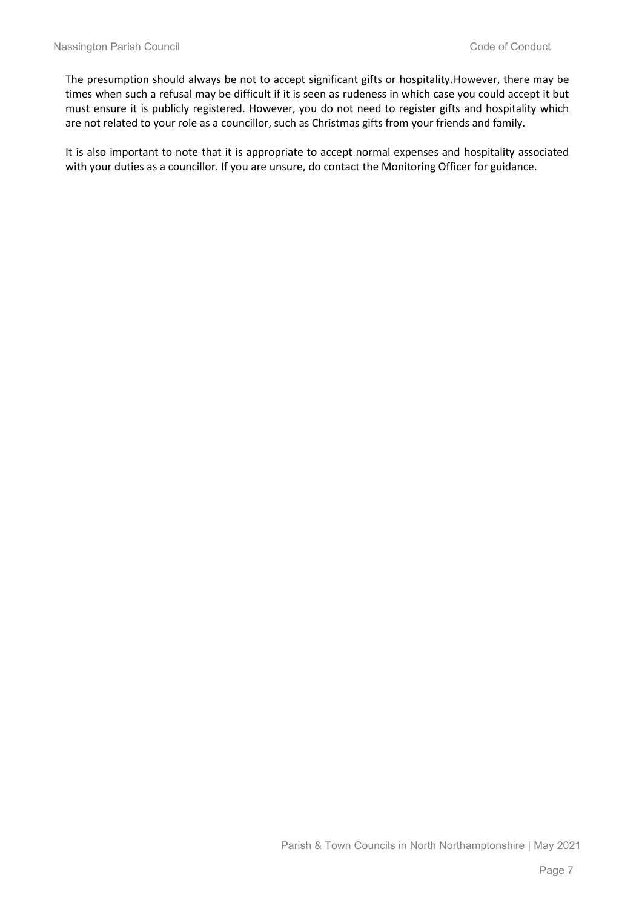The presumption should always be not to accept significant gifts or hospitality.However, there may be times when such a refusal may be difficult if it is seen as rudeness in which case you could accept it but must ensure it is publicly registered. However, you do not need to register gifts and hospitality which are not related to your role as a councillor, such as Christmas gifts from your friends and family.

It is also important to note that it is appropriate to accept normal expenses and hospitality associated with your duties as a councillor. If you are unsure, do contact the Monitoring Officer for guidance.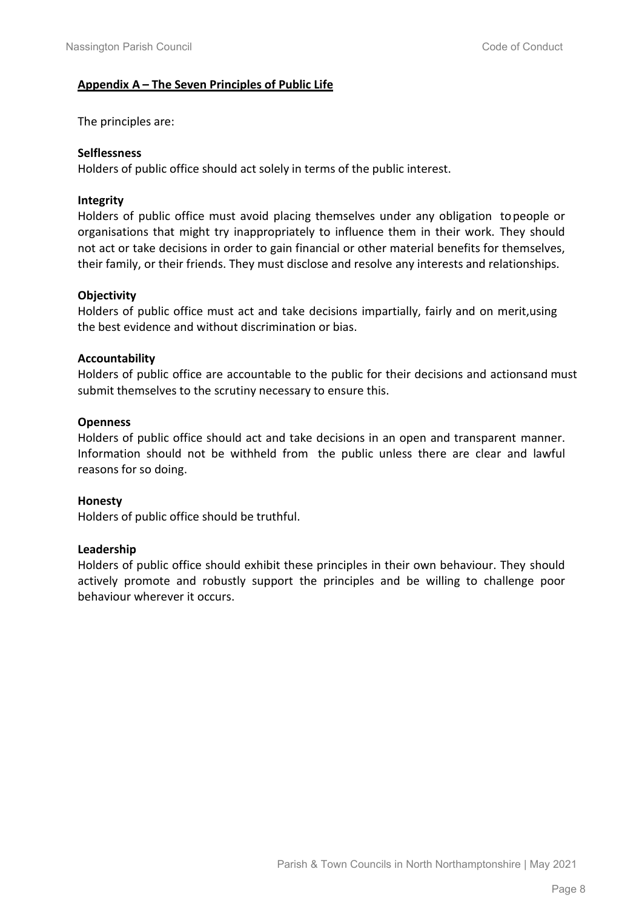# **Appendix A – The Seven Principles of Public Life**

The principles are:

# **Selflessness**

Holders of public office should act solely in terms of the public interest.

# **Integrity**

Holders of public office must avoid placing themselves under any obligation topeople or organisations that might try inappropriately to influence them in their work. They should not act or take decisions in order to gain financial or other material benefits for themselves, their family, or their friends. They must disclose and resolve any interests and relationships.

# **Objectivity**

Holders of public office must act and take decisions impartially, fairly and on merit,using the best evidence and without discrimination or bias.

# **Accountability**

Holders of public office are accountable to the public for their decisions and actionsand must submit themselves to the scrutiny necessary to ensure this.

# **Openness**

Holders of public office should act and take decisions in an open and transparent manner. Information should not be withheld from the public unless there are clear and lawful reasons for so doing.

# **Honesty**

Holders of public office should be truthful.

# **Leadership**

Holders of public office should exhibit these principles in their own behaviour. They should actively promote and robustly support the principles and be willing to challenge poor behaviour wherever it occurs.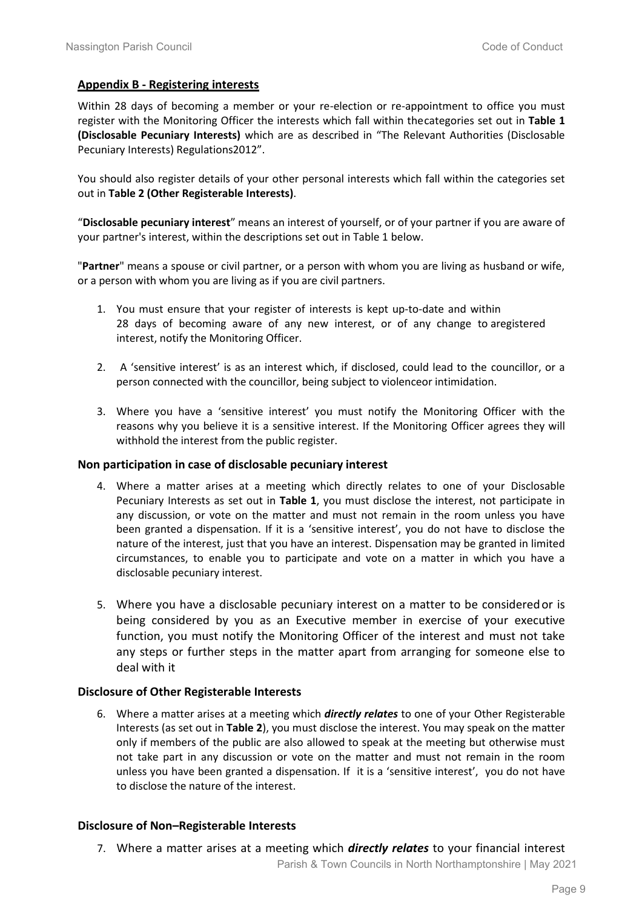#### **Appendix B - Registering interests**

Within 28 days of becoming a member or your re-election or re-appointment to office you must register with the Monitoring Officer the interests which fall within thecategories set out in **Table 1 (Disclosable Pecuniary Interests)** which are as described in "The Relevant Authorities (Disclosable Pecuniary Interests) Regulations2012".

You should also register details of your other personal interests which fall within the categories set out in **Table 2 (Other Registerable Interests)**.

"**Disclosable pecuniary interest**" means an interest of yourself, or of your partner if you are aware of your partner's interest, within the descriptions set out in Table 1 below.

"**Partner**" means a spouse or civil partner, or a person with whom you are living as husband or wife, or a person with whom you are living as if you are civil partners.

- 1. You must ensure that your register of interests is kept up-to-date and within 28 days of becoming aware of any new interest, or of any change to aregistered interest, notify the Monitoring Officer.
- 2. A 'sensitive interest' is as an interest which, if disclosed, could lead to the councillor, or a person connected with the councillor, being subject to violenceor intimidation.
- 3. Where you have a 'sensitive interest' you must notify the Monitoring Officer with the reasons why you believe it is a sensitive interest. If the Monitoring Officer agrees they will withhold the interest from the public register.

#### **Non participation in case of disclosable pecuniary interest**

- 4. Where a matter arises at a meeting which directly relates to one of your Disclosable Pecuniary Interests as set out in **Table 1**, you must disclose the interest, not participate in any discussion, or vote on the matter and must not remain in the room unless you have been granted a dispensation. If it is a 'sensitive interest', you do not have to disclose the nature of the interest, just that you have an interest. Dispensation may be granted in limited circumstances, to enable you to participate and vote on a matter in which you have a disclosable pecuniary interest.
- 5. Where you have a disclosable pecuniary interest on a matter to be consideredor is being considered by you as an Executive member in exercise of your executive function, you must notify the Monitoring Officer of the interest and must not take any steps or further steps in the matter apart from arranging for someone else to deal with it

#### **Disclosure of Other Registerable Interests**

6. Where a matter arises at a meeting which *directly relates* to one of your Other Registerable Interests (as set out in **Table 2**), you must disclose the interest. You may speak on the matter only if members of the public are also allowed to speak at the meeting but otherwise must not take part in any discussion or vote on the matter and must not remain in the room unless you have been granted a dispensation. If it is a 'sensitive interest', you do not have to disclose the nature of the interest.

#### **Disclosure of Non–Registerable Interests**

7. Where a matter arises at a meeting which *directly relates* to your financial interest

Parish & Town Councils in North Northamptonshire | May 2021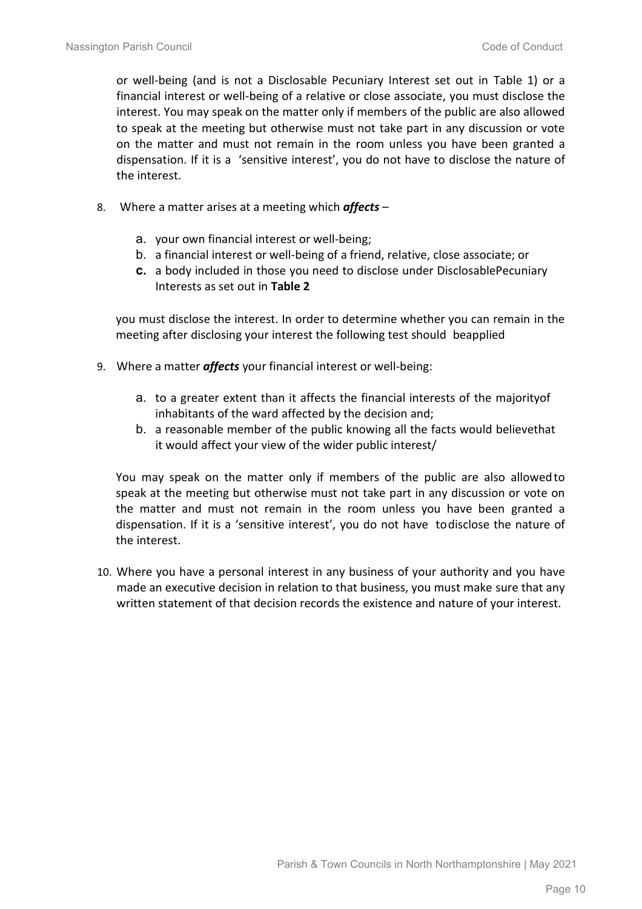or well-being (and is not a Disclosable Pecuniary Interest set out in Table 1) or a financial interest or well-being of a relative or close associate, you must disclose the interest. You may speak on the matter only if members of the public are also allowed to speak at the meeting but otherwise must not take part in any discussion or vote on the matter and must not remain in the room unless you have been granted a dispensation. If it is a 'sensitive interest', you do not have to disclose the nature of the interest.

- 8. Where a matter arises at a meeting which *affects*
	- a. your own financial interest or well-being;
	- b. a financial interest or well-being of a friend, relative, close associate; or
	- **c.** a body included in those you need to disclose under DisclosablePecuniary Interests as set out in **Table 2**

you must disclose the interest. In order to determine whether you can remain in the meeting after disclosing your interest the following test should beapplied

- 9. Where a matter *affects* your financial interest or well-being:
	- a. to a greater extent than it affects the financial interests of the majorityof inhabitants of the ward affected by the decision and;
	- b. a reasonable member of the public knowing all the facts would believethat it would affect your view of the wider public interest/

You may speak on the matter only if members of the public are also allowedto speak at the meeting but otherwise must not take part in any discussion or vote on the matter and must not remain in the room unless you have been granted a dispensation. If it is a 'sensitive interest', you do not have todisclose the nature of the interest.

10. Where you have a personal interest in any business of your authority and you have made an executive decision in relation to that business, you must make sure that any written statement of that decision records the existence and nature of your interest.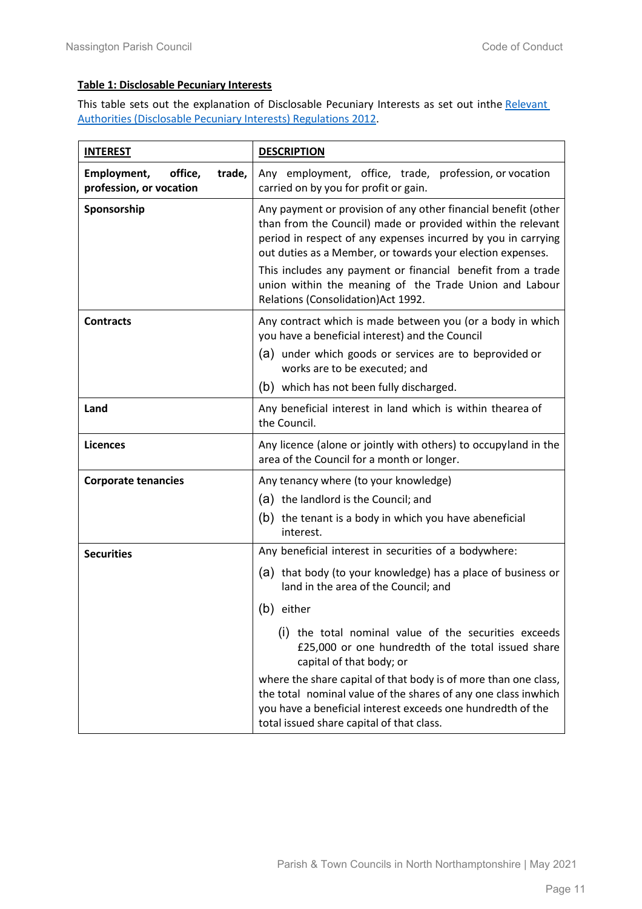# **Table 1: Disclosable Pecuniary Interests**

This table sets out the explanation of Disclosable Pecuniary Interests as set out inthe [Relevant](https://www.legislation.gov.uk/uksi/2012/1464/made) [Authorities \(Disclosable Pecuniary](https://www.legislation.gov.uk/uksi/2012/1464/made) Interests) Regulations 2012.

| <b>INTEREST</b>                                             | <b>DESCRIPTION</b>                                                                                                                                                                                                                                                                                                                                                                                                           |
|-------------------------------------------------------------|------------------------------------------------------------------------------------------------------------------------------------------------------------------------------------------------------------------------------------------------------------------------------------------------------------------------------------------------------------------------------------------------------------------------------|
| Employment,<br>office,<br>trade,<br>profession, or vocation | Any employment, office, trade, profession, or vocation<br>carried on by you for profit or gain.                                                                                                                                                                                                                                                                                                                              |
| Sponsorship                                                 | Any payment or provision of any other financial benefit (other<br>than from the Council) made or provided within the relevant<br>period in respect of any expenses incurred by you in carrying<br>out duties as a Member, or towards your election expenses.<br>This includes any payment or financial benefit from a trade<br>union within the meaning of the Trade Union and Labour<br>Relations (Consolidation) Act 1992. |
| <b>Contracts</b>                                            | Any contract which is made between you (or a body in which<br>you have a beneficial interest) and the Council                                                                                                                                                                                                                                                                                                                |
|                                                             | (a) under which goods or services are to beprovided or<br>works are to be executed; and                                                                                                                                                                                                                                                                                                                                      |
|                                                             | (b) which has not been fully discharged.                                                                                                                                                                                                                                                                                                                                                                                     |
| Land                                                        | Any beneficial interest in land which is within thearea of<br>the Council.                                                                                                                                                                                                                                                                                                                                                   |
| <b>Licences</b>                                             | Any licence (alone or jointly with others) to occupyland in the<br>area of the Council for a month or longer.                                                                                                                                                                                                                                                                                                                |
| <b>Corporate tenancies</b>                                  | Any tenancy where (to your knowledge)                                                                                                                                                                                                                                                                                                                                                                                        |
|                                                             | (a) the landlord is the Council; and                                                                                                                                                                                                                                                                                                                                                                                         |
|                                                             | (b) the tenant is a body in which you have abeneficial<br>interest.                                                                                                                                                                                                                                                                                                                                                          |
| <b>Securities</b>                                           | Any beneficial interest in securities of a bodywhere:                                                                                                                                                                                                                                                                                                                                                                        |
|                                                             | (a) that body (to your knowledge) has a place of business or<br>land in the area of the Council; and                                                                                                                                                                                                                                                                                                                         |
|                                                             | (b) either                                                                                                                                                                                                                                                                                                                                                                                                                   |
|                                                             | (i) the total nominal value of the securities exceeds<br>£25,000 or one hundredth of the total issued share<br>capital of that body; or                                                                                                                                                                                                                                                                                      |
|                                                             | where the share capital of that body is of more than one class,<br>the total nominal value of the shares of any one class inwhich<br>you have a beneficial interest exceeds one hundredth of the<br>total issued share capital of that class.                                                                                                                                                                                |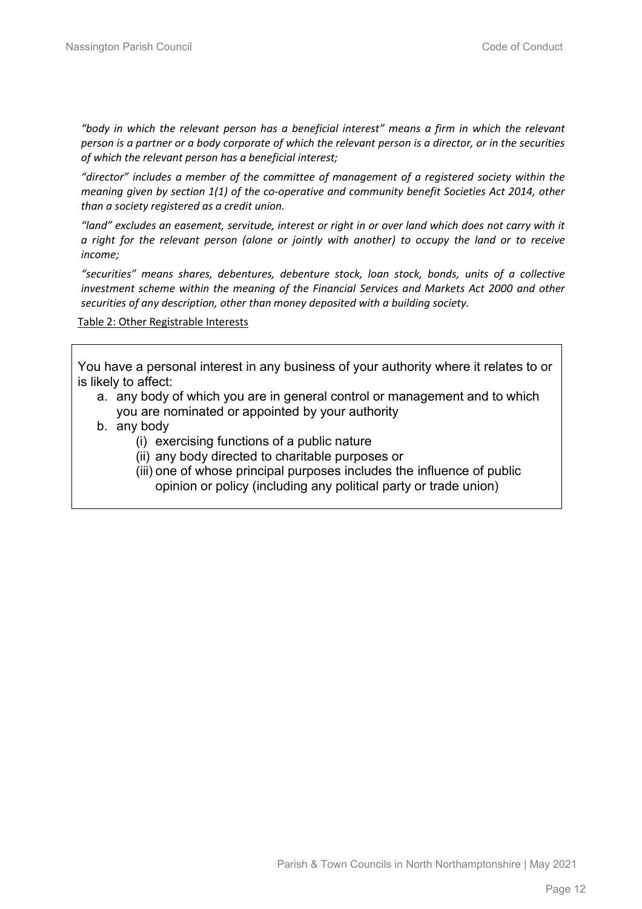*"body in which the relevant person has a beneficial interest" means a firm in which the relevant person is a partner or a body corporate of which the relevant person is a director, or in the securities of which the relevant person has a beneficial interest;*

*"director" includes a member of the committee of management of a registered society within the meaning given by section 1(1) of the co-operative and community benefit Societies Act 2014, other than a society registered as a credit union.*

*"land" excludes an easement, servitude, interest or right in or over land which does not carry with it a right for the relevant person (alone or jointly with another) to occupy the land or to receive income;*

*"securities" means shares, debentures, debenture stock, loan stock, bonds, units of a collective investment scheme within the meaning of the Financial Services and Markets Act 2000 and other securities of any description, other than money deposited with a building society.*

Table 2: Other Registrable Interests

You have a personal interest in any business of your authority where it relates to or is likely to affect:

- a. any body of which you are in general control or management and to which you are nominated or appointed by your authority
- b. any body
	- (i) exercising functions of a public nature
	- (ii) any body directed to charitable purposes or
	- (iii) one of whose principal purposes includes the influence of public opinion or policy (including any political party or trade union)